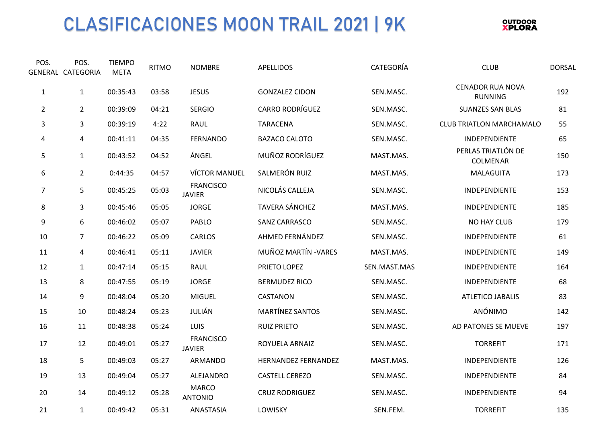## CLASIFICACIONES MOON TRAIL 2021 | 9K



| POS.           | POS.<br>GENERAL CATEGORIA | <b>TIEMPO</b><br><b>META</b> | <b>RITMO</b> | <b>NOMBRE</b>                     | <b>APELLIDOS</b>           | CATEGORÍA    | <b>CLUB</b>                               | <b>DORSAL</b> |
|----------------|---------------------------|------------------------------|--------------|-----------------------------------|----------------------------|--------------|-------------------------------------------|---------------|
| $\mathbf{1}$   | $\mathbf{1}$              | 00:35:43                     | 03:58        | <b>JESUS</b>                      | <b>GONZALEZ CIDON</b>      | SEN.MASC.    | <b>CENADOR RUA NOVA</b><br><b>RUNNING</b> | 192           |
| $\overline{2}$ | $\overline{2}$            | 00:39:09                     | 04:21        | <b>SERGIO</b>                     | <b>CARRO RODRÍGUEZ</b>     | SEN.MASC.    | <b>SUANZES SAN BLAS</b>                   | 81            |
| 3              | 3                         | 00:39:19                     | 4:22         | RAUL                              | <b>TARACENA</b>            | SEN.MASC.    | <b>CLUB TRIATLON MARCHAMALO</b>           | 55            |
| 4              | 4                         | 00:41:11                     | 04:35        | <b>FERNANDO</b>                   | <b>BAZACO CALOTO</b>       | SEN.MASC.    | INDEPENDIENTE                             | 65            |
| 5              | $\mathbf{1}$              | 00:43:52                     | 04:52        | ÁNGEL                             | MUÑOZ RODRÍGUEZ            | MAST.MAS.    | PERLAS TRIATLÓN DE<br>COLMENAR            | 150           |
| 6              | $\overline{2}$            | 0:44:35                      | 04:57        | <b>VÍCTOR MANUEL</b>              | SALMERÓN RUIZ              | MAST.MAS.    | MALAGUITA                                 | 173           |
| $\overline{7}$ | 5                         | 00:45:25                     | 05:03        | <b>FRANCISCO</b><br><b>JAVIER</b> | NICOLÁS CALLEJA            | SEN.MASC.    | INDEPENDIENTE                             | 153           |
| 8              | 3                         | 00:45:46                     | 05:05        | <b>JORGE</b>                      | <b>TAVERA SÁNCHEZ</b>      | MAST.MAS.    | INDEPENDIENTE                             | 185           |
| 9              | 6                         | 00:46:02                     | 05:07        | PABLO                             | <b>SANZ CARRASCO</b>       | SEN.MASC.    | <b>NO HAY CLUB</b>                        | 179           |
| 10             | $\overline{7}$            | 00:46:22                     | 05:09        | CARLOS                            | AHMED FERNÁNDEZ            | SEN.MASC.    | INDEPENDIENTE                             | 61            |
| 11             | 4                         | 00:46:41                     | 05:11        | <b>JAVIER</b>                     | MUÑOZ MARTÍN - VARES       | MAST.MAS.    | INDEPENDIENTE                             | 149           |
| 12             | $\mathbf{1}$              | 00:47:14                     | 05:15        | <b>RAUL</b>                       | PRIETO LOPEZ               | SEN.MAST.MAS | INDEPENDIENTE                             | 164           |
| 13             | 8                         | 00:47:55                     | 05:19        | <b>JORGE</b>                      | <b>BERMUDEZ RICO</b>       | SEN.MASC.    | INDEPENDIENTE                             | 68            |
| 14             | 9                         | 00:48:04                     | 05:20        | <b>MIGUEL</b>                     | CASTANON                   | SEN.MASC.    | ATLETICO JABALIS                          | 83            |
| 15             | 10                        | 00:48:24                     | 05:23        | JULIÁN                            | <b>MARTÍNEZ SANTOS</b>     | SEN.MASC.    | ANÓNIMO                                   | 142           |
| 16             | 11                        | 00:48:38                     | 05:24        | <b>LUIS</b>                       | <b>RUIZ PRIETO</b>         | SEN.MASC.    | AD PATONES SE MUEVE                       | 197           |
| 17             | 12                        | 00:49:01                     | 05:27        | <b>FRANCISCO</b><br><b>JAVIER</b> | ROYUELA ARNAIZ             | SEN.MASC.    | <b>TORREFIT</b>                           | 171           |
| 18             | 5                         | 00:49:03                     | 05:27        | ARMANDO                           | <b>HERNANDEZ FERNANDEZ</b> | MAST.MAS.    | INDEPENDIENTE                             | 126           |
| 19             | 13                        | 00:49:04                     | 05:27        | ALEJANDRO                         | <b>CASTELL CEREZO</b>      | SEN.MASC.    | INDEPENDIENTE                             | 84            |
| 20             | 14                        | 00:49:12                     | 05:28        | <b>MARCO</b><br><b>ANTONIO</b>    | <b>CRUZ RODRIGUEZ</b>      | SEN.MASC.    | INDEPENDIENTE                             | 94            |
| 21             | $\mathbf 1$               | 00:49:42                     | 05:31        | ANASTASIA                         | LOWISKY                    | SEN.FEM.     | <b>TORREFIT</b>                           | 135           |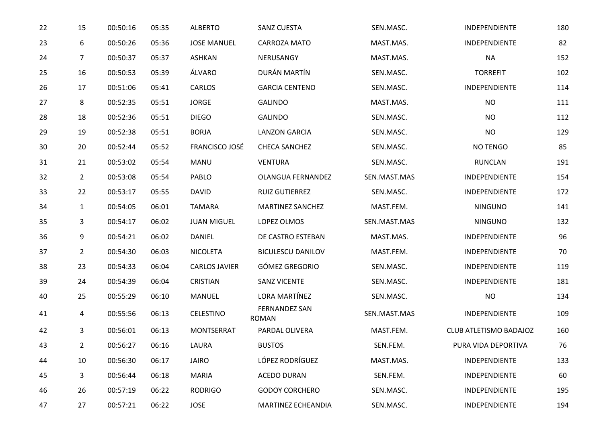| 22 | 15             | 00:50:16 | 05:35 | <b>ALBERTO</b>       | <b>SANZ CUESTA</b>                   | SEN.MASC.    | INDEPENDIENTE          | 180 |
|----|----------------|----------|-------|----------------------|--------------------------------------|--------------|------------------------|-----|
| 23 | 6              | 00:50:26 | 05:36 | <b>JOSE MANUEL</b>   | CARROZA MATO                         | MAST.MAS.    | INDEPENDIENTE          | 82  |
| 24 | 7              | 00:50:37 | 05:37 | <b>ASHKAN</b>        | NERUSANGY                            | MAST.MAS.    | <b>NA</b>              | 152 |
| 25 | 16             | 00:50:53 | 05:39 | ÁLVARO               | DURÁN MARTÍN                         | SEN.MASC.    | <b>TORREFIT</b>        | 102 |
| 26 | 17             | 00:51:06 | 05:41 | CARLOS               | <b>GARCIA CENTENO</b>                | SEN.MASC.    | INDEPENDIENTE          | 114 |
| 27 | 8              | 00:52:35 | 05:51 | <b>JORGE</b>         | <b>GALINDO</b>                       | MAST.MAS.    | <b>NO</b>              | 111 |
| 28 | 18             | 00:52:36 | 05:51 | <b>DIEGO</b>         | <b>GALINDO</b>                       | SEN.MASC.    | <b>NO</b>              | 112 |
| 29 | 19             | 00:52:38 | 05:51 | <b>BORJA</b>         | <b>LANZON GARCIA</b>                 | SEN.MASC.    | <b>NO</b>              | 129 |
| 30 | 20             | 00:52:44 | 05:52 | FRANCISCO JOSÉ       | <b>CHECA SANCHEZ</b>                 | SEN.MASC.    | NO TENGO               | 85  |
| 31 | 21             | 00:53:02 | 05:54 | MANU                 | <b>VENTURA</b>                       | SEN.MASC.    | <b>RUNCLAN</b>         | 191 |
| 32 | $\overline{2}$ | 00:53:08 | 05:54 | PABLO                | <b>OLANGUA FERNANDEZ</b>             | SEN.MAST.MAS | INDEPENDIENTE          | 154 |
| 33 | 22             | 00:53:17 | 05:55 | <b>DAVID</b>         | RUIZ GUTIERREZ                       | SEN.MASC.    | INDEPENDIENTE          | 172 |
| 34 | $\mathbf{1}$   | 00:54:05 | 06:01 | <b>TAMARA</b>        | <b>MARTINEZ SANCHEZ</b>              | MAST.FEM.    | <b>NINGUNO</b>         | 141 |
| 35 | 3              | 00:54:17 | 06:02 | <b>JUAN MIGUEL</b>   | LOPEZ OLMOS                          | SEN.MAST.MAS | <b>NINGUNO</b>         | 132 |
| 36 | 9              | 00:54:21 | 06:02 | DANIEL               | DE CASTRO ESTEBAN                    | MAST.MAS.    | INDEPENDIENTE          | 96  |
| 37 | $\overline{2}$ | 00:54:30 | 06:03 | <b>NICOLETA</b>      | <b>BICULESCU DANILOV</b>             | MAST.FEM.    | INDEPENDIENTE          | 70  |
| 38 | 23             | 00:54:33 | 06:04 | <b>CARLOS JAVIER</b> | GÓMEZ GREGORIO                       | SEN.MASC.    | INDEPENDIENTE          | 119 |
| 39 | 24             | 00:54:39 | 06:04 | <b>CRISTIAN</b>      | <b>SANZ VICENTE</b>                  | SEN.MASC.    | INDEPENDIENTE          | 181 |
| 40 | 25             | 00:55:29 | 06:10 | <b>MANUEL</b>        | LORA MARTÍNEZ                        | SEN.MASC.    | <b>NO</b>              | 134 |
| 41 | 4              | 00:55:56 | 06:13 | <b>CELESTINO</b>     | <b>FERNANDEZ SAN</b><br><b>ROMAN</b> | SEN.MAST.MAS | INDEPENDIENTE          | 109 |
| 42 | 3              | 00:56:01 | 06:13 | <b>MONTSERRAT</b>    | PARDAL OLIVERA                       | MAST.FEM.    | CLUB ATLETISMO BADAJOZ | 160 |
| 43 | $\overline{2}$ | 00:56:27 | 06:16 | LAURA                | <b>BUSTOS</b>                        | SEN.FEM.     | PURA VIDA DEPORTIVA    | 76  |
| 44 | 10             | 00:56:30 | 06:17 | <b>JAIRO</b>         | LÓPEZ RODRÍGUEZ                      | MAST.MAS.    | INDEPENDIENTE          | 133 |
| 45 | 3              | 00:56:44 | 06:18 | MARIA                | <b>ACEDO DURAN</b>                   | SEN.FEM.     | INDEPENDIENTE          | 60  |
| 46 | 26             | 00:57:19 | 06:22 | <b>RODRIGO</b>       | <b>GODOY CORCHERO</b>                | SEN.MASC.    | INDEPENDIENTE          | 195 |
| 47 | 27             | 00:57:21 | 06:22 | <b>JOSE</b>          | MARTINEZ ECHEANDIA                   | SEN.MASC.    | INDEPENDIENTE          | 194 |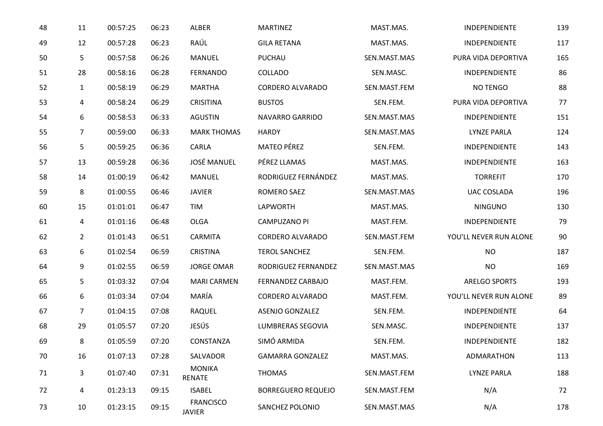| 48 | 11             | 00:57:25 | 06:23 | ALBER                             | <b>MARTINEZ</b>           | MAST.MAS.    | INDEPENDIENTE          | 139 |
|----|----------------|----------|-------|-----------------------------------|---------------------------|--------------|------------------------|-----|
| 49 | 12             | 00:57:28 | 06:23 | RAÚL                              | <b>GILA RETANA</b>        | MAST.MAS.    | INDEPENDIENTE          | 117 |
| 50 | 5              | 00:57:58 | 06:26 | <b>MANUEL</b>                     | PUCHAU                    | SEN.MAST.MAS | PURA VIDA DEPORTIVA    | 165 |
| 51 | 28             | 00:58:16 | 06:28 | <b>FERNANDO</b>                   | COLLADO                   | SEN.MASC.    | INDEPENDIENTE          | 86  |
| 52 | 1              | 00:58:19 | 06:29 | <b>MARTHA</b>                     | CORDERO ALVARADO          | SEN.MAST.FEM | NO TENGO               | 88  |
| 53 | 4              | 00:58:24 | 06:29 | <b>CRISITINA</b>                  | <b>BUSTOS</b>             | SEN.FEM.     | PURA VIDA DEPORTIVA    | 77  |
| 54 | 6              | 00:58:53 | 06:33 | <b>AGUSTIN</b>                    | NAVARRO GARRIDO           | SEN.MAST.MAS | INDEPENDIENTE          | 151 |
| 55 | $\overline{7}$ | 00:59:00 | 06:33 | <b>MARK THOMAS</b>                | <b>HARDY</b>              | SEN.MAST.MAS | <b>LYNZE PARLA</b>     | 124 |
| 56 | 5              | 00:59:25 | 06:36 | CARLA                             | <b>MATEO PÉREZ</b>        | SEN.FEM.     | INDEPENDIENTE          | 143 |
| 57 | 13             | 00:59:28 | 06:36 | <b>JOSÉ MANUEL</b>                | PÉREZ LLAMAS              | MAST.MAS.    | INDEPENDIENTE          | 163 |
| 58 | 14             | 01:00:19 | 06:42 | <b>MANUEL</b>                     | RODRIGUEZ FERNÁNDEZ       | MAST.MAS.    | <b>TORREFIT</b>        | 170 |
| 59 | 8              | 01:00:55 | 06:46 | <b>JAVIER</b>                     | ROMERO SAEZ               | SEN.MAST.MAS | UAC COSLADA            | 196 |
| 60 | 15             | 01:01:01 | 06:47 | <b>TIM</b>                        | <b>LAPWORTH</b>           | MAST.MAS.    | <b>NINGUNO</b>         | 130 |
| 61 | 4              | 01:01:16 | 06:48 | <b>OLGA</b>                       | <b>CAMPUZANO PI</b>       | MAST.FEM.    | INDEPENDIENTE          | 79  |
| 62 | $\overline{2}$ | 01:01:43 | 06:51 | CARMITA                           | CORDERO ALVARADO          | SEN.MAST.FEM | YOU'LL NEVER RUN ALONE | 90  |
| 63 | 6              | 01:02:54 | 06:59 | <b>CRISTINA</b>                   | <b>TEROL SANCHEZ</b>      | SEN.FEM.     | <b>NO</b>              | 187 |
| 64 | 9              | 01:02:55 | 06:59 | <b>JORGE OMAR</b>                 | RODRIGUEZ FERNANDEZ       | SEN.MAST.MAS | <b>NO</b>              | 169 |
| 65 | 5              | 01:03:32 | 07:04 | <b>MARI CARMEN</b>                | <b>FERNANDEZ CARBAJO</b>  | MAST.FEM.    | <b>ARELGO SPORTS</b>   | 193 |
| 66 | 6              | 01:03:34 | 07:04 | MARÍA                             | CORDERO ALVARADO          | MAST.FEM.    | YOU'LL NEVER RUN ALONE | 89  |
| 67 | 7              | 01:04:15 | 07:08 | RAQUEL                            | <b>ASENJO GONZALEZ</b>    | SEN.FEM.     | INDEPENDIENTE          | 64  |
| 68 | 29             | 01:05:57 | 07:20 | JESÚS                             | LUMBRERAS SEGOVIA         | SEN.MASC.    | INDEPENDIENTE          | 137 |
| 69 | 8              | 01:05:59 | 07:20 | CONSTANZA                         | SIMÓ ARMIDA               | SEN.FEM.     | INDEPENDIENTE          | 182 |
| 70 | 16             | 01:07:13 | 07:28 | SALVADOR                          | <b>GAMARRA GONZALEZ</b>   | MAST.MAS.    | ADMARATHON             | 113 |
| 71 | 3              | 01:07:40 | 07:31 | <b>MONIKA</b><br><b>RENATE</b>    | <b>THOMAS</b>             | SEN.MAST.FEM | <b>LYNZE PARLA</b>     | 188 |
| 72 | 4              | 01:23:13 | 09:15 | <b>ISABEL</b>                     | <b>BORREGUERO REQUEJO</b> | SEN.MAST.FEM | N/A                    | 72  |
| 73 | 10             | 01:23:15 | 09:15 | <b>FRANCISCO</b><br><b>JAVIER</b> | SANCHEZ POLONIO           | SEN.MAST.MAS | N/A                    | 178 |